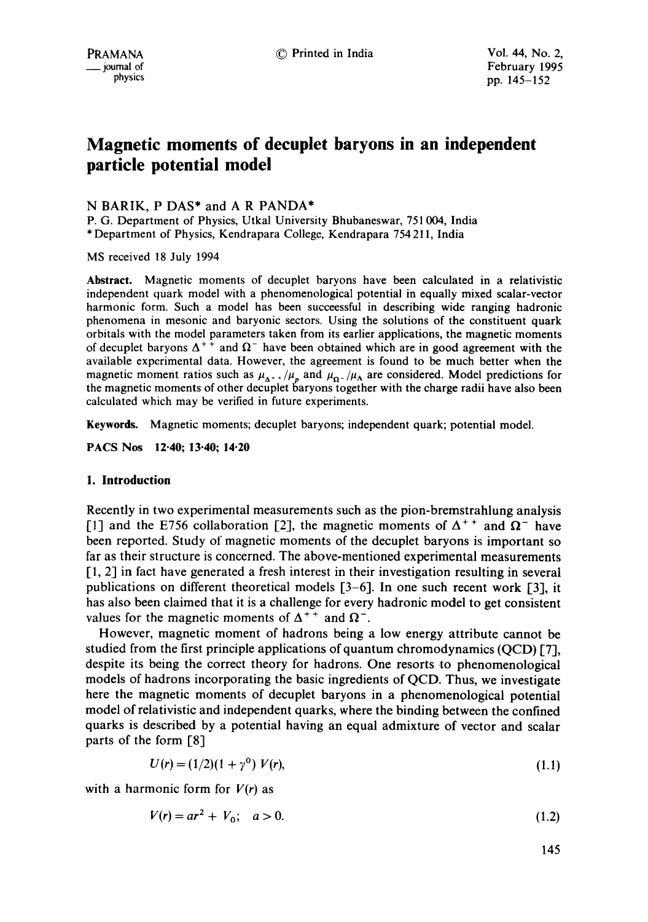# **Magnetic moments of decuplet baryons in an independent particle potential model**

# N BARIK, P DAS\* and A R PANDA\*

P. G. Department of Physics, Utkal University Bhubaneswar, 751 004, India \* Department of Physics, Kendrapara College, Kendrapara 754 211, India

MS received 18 July 1994

**Abstract.** Magnetic moments of decuplet baryons have been calculated in a relativistic independent quark model with a phenomenological potential in equally mixed scalar-vector harmonic form. Such a model has been succeessful in describing wide ranging hadronic phenomena in mesonic and baryonic sectors. Using the solutions of the constituent quark orbitals with the model parameters taken from its earlier applications, the magnetic moments of decuplet baryons  $\Delta^{++}$  and  $\Omega^-$  have been obtained which are in good agreement with the available experimental data. However, the agreement is found to be much better when **the**  magnetic moment ratios such as  $\mu_{\Delta^{++}}/\mu_p$  and  $\mu_{\Omega^-}/\mu_\Lambda$  are considered. Model predictions for the magnetic moments of other decuplet baryons together with the charge radii have also been calculated which may be verified in future experiments.

**Keywords.** Magnetic moments; decuplet baryons; independent quark; potential model.

**PACS Nos 12.40; 13-40; 14.20** 

## **1. Introduction**

Recently in two experimental measurements such as the pion-bremstrahlung analysis [1] and the E756 collaboration [2], the magnetic moments of  $\Delta^{++}$  and  $\Omega^-$  have been reported. Study of magnetic moments of the decuplet baryons is important so far as their structure is concerned. The above-mentioned experimental measurements [1, 2] in fact have generated a fresh interest in their investigation resulting in several publications on different theoretical models [3-6]. In one such recent work [3], it has also been claimed that it is a challenge for every hadronic model to get consistent values for the magnetic moments of  $\Delta^{++}$  and  $\Omega^-$ .

However, magnetic moment of hadrons being a low energy attribute cannot be studied from the first principle applications of quantum chromodynamics (QCD) [7], despite its being the correct theory for hadrons. One resorts to phenomenological models of hadrons incorporating the basic ingredients of QCD. Thus, we investigate here the magnetic moments of decuplet baryons in a phenomenological potential model of relativistic and independent quarks, where the binding between the confined quarks is described by a potential having an equal admixture of vector and scalar parts of the form [8]

$$
U(r) = (1/2)(1 + \gamma^0) V(r), \tag{1.1}
$$

with a harmonic form for *V(r)* as

$$
V(r) = ar^2 + V_0; \quad a > 0. \tag{1.2}
$$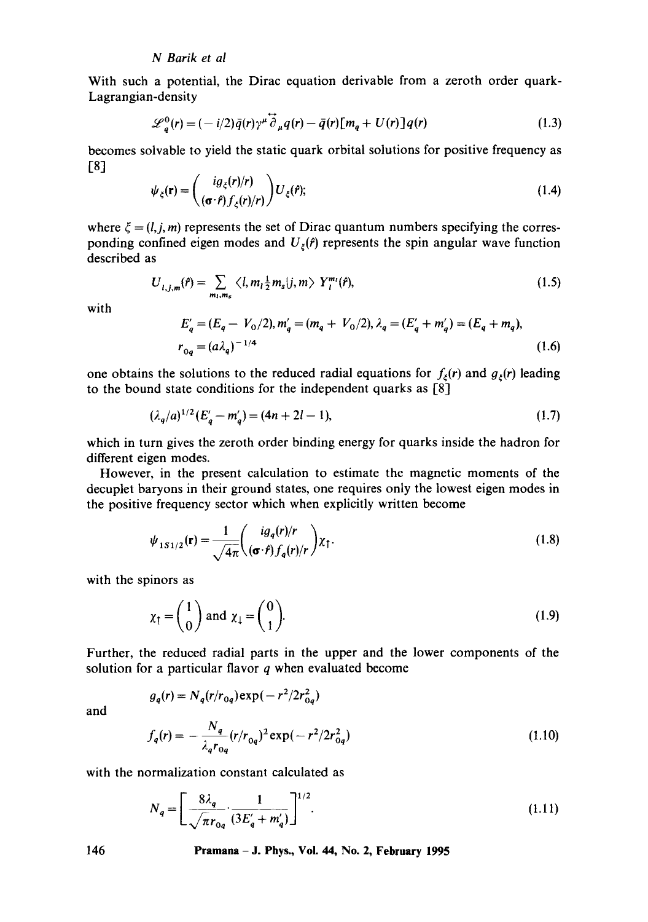## *N Barik et al*

With such a potential, the Dirac equation derivable from a zeroth order quark-Lagrangian-density

$$
\mathcal{L}_q^0(r) = (-i/2)\bar{q}(r)\gamma^\mu \overrightarrow{\partial}_\mu q(r) - \bar{q}(r)[m_q + U(r)]q(r)
$$
\n(1.3)

becomes solvable to yield the static quark orbital solutions for positive frequency as **[8]** 

$$
\psi_{\xi}(\mathbf{r}) = \begin{pmatrix} ig_{\xi}(r)/r \\ (\sigma \cdot \hat{r}) f_{\xi}(r)/r \end{pmatrix} U_{\xi}(\hat{r}); \tag{1.4}
$$

where  $\xi = (l, j, m)$  represents the set of Dirac quantum numbers specifying the corresponding confined eigen modes and  $U_z(f)$  represents the spin angular wave function described as

$$
U_{l,j,m}(\hat{r}) = \sum_{m_l,m_s} \langle l,m_l \frac{1}{2}m_s|j,m\rangle Y_l^{m_l}(\hat{r}), \qquad (1.5)
$$

with

$$
E'_{q} = (E_{q} - V_{0}/2), m'_{q} = (m_{q} + V_{0}/2), \lambda_{q} = (E'_{q} + m'_{q}) = (E_{q} + m_{q}),
$$
  
\n
$$
r_{0q} = (a\lambda_{q})^{-1/4}
$$
\n(1.6)

one obtains the solutions to the reduced radial equations for  $f_{\xi}(r)$  and  $g_{\xi}(r)$  leading to the bound state conditions for the independent quarks as [8]

$$
(\lambda_q/a)^{1/2}(E'_q - m'_q) = (4n + 2l - 1),\tag{1.7}
$$

which in turn gives the zeroth order binding energy for quarks inside the hadron for different eigen modes.

However, in the present calculation to estimate the magnetic moments of the decuplet baryons in their ground states, one requires only the lowest eigen modes in the positive frequency sector which when explicitly written become

$$
\psi_{1S1/2}(\mathbf{r}) = \frac{1}{\sqrt{4\pi}} \left( \frac{i g_q(r)/r}{(\sigma \cdot \hat{r}) f_q(r)/r} \right) \chi_{\uparrow}.
$$
\n(1.8)

with the spinors as

$$
\chi_{\uparrow} = \begin{pmatrix} 1 \\ 0 \end{pmatrix} \text{ and } \chi_{\downarrow} = \begin{pmatrix} 0 \\ 1 \end{pmatrix}.
$$
 (1.9)

Further, the reduced radial parts in the upper and the lower components of the solution for a particular flavor  $q$  when evaluated become

and

$$
g_q(r) = N_q(r/r_{0q}) \exp(-r^2/2r_{0q}^2)
$$
  

$$
f_q(r) = -\frac{N_q}{\lambda_q r_{0q}} (r/r_{0q})^2 \exp(-r^2/2r_{0q}^2)
$$
 (1.10)

with the normalization constant calculated as

$$
N_q = \left[ \frac{8\lambda_q}{\sqrt{\pi}r_{0q}} \cdot \frac{1}{(3E_q' + m_q')} \right]^{1/2}.
$$
 (1.11)

146 Pramana- J. Phys., Vol. 44, No. 2, February 1995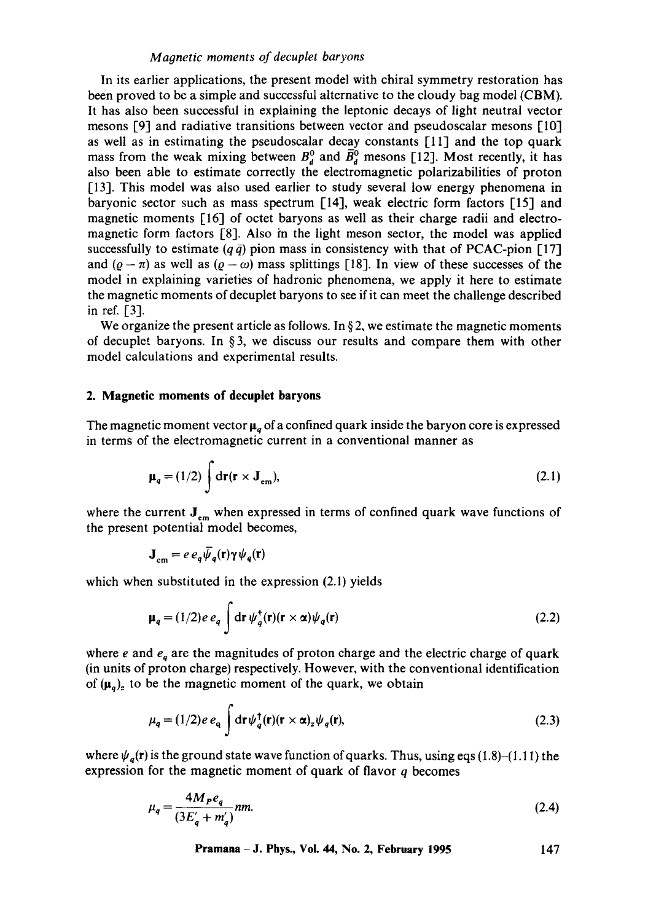## *Magnetic moments of decuplet baryons*

In its earlier applications, the present model with chiral symmetry restoration has been proved to be a simple and successful alternative to the cloudy bag model (CBM). It has also been successful in explaining the leptonic decays of light neutral vector mesons [9] and radiative transitions between vector and pseudoscalar mesons [10] as well as in estimating the pseudoscalar decay constants [11] and the top quark mass from the weak mixing between  $B_d^0$  and  $\bar{B}_d^0$  mesons [12]. Most recently, it has also been able to estimate correctly the electromagnetic polarizabilities of proton [13]. This model was also used earlier to study several low energy phenomena in baryonic sector such as mass spectrum [14], weak electric form factors [15] and magnetic moments [16] of octet baryons as well as their charge radii and electromagnetic form factors [8]. Also in the light meson sector, the model was applied successfully to estimate ( $q \bar{q}$ ) pion mass in consistency with that of PCAC-pion [17] and  $(\varrho - \pi)$  as well as  $(\varrho - \omega)$  mass splittings [18]. In view of these successes of the model in explaining varieties of hadronic phenomena, we apply it here to estimate the magnetic moments ofdecuplet baryons to see if it can meet the challenge described in ref. [3].

We organize the present article as follows. In  $\S 2$ , we estimate the magnetic moments of decuplet baryons. In §3, we discuss our results and compare them with other model calculations and experimental results.

#### **2. Magnetic moments of decuplet baryons**

The magnetic moment vector  $\mu_a$  of a confined quark inside the baryon core is expressed in terms of the electromagnetic current in a conventional manner as

$$
\mu_q = (1/2) \int dr (r \times J_{em}), \qquad (2.1)
$$

where the current  $J_{em}$  when expressed in terms of confined quark wave functions of the present potential model becomes,

$$
\mathbf{J}_{\rm cm} = e \, e_q \bar{\psi}_q(\mathbf{r}) \gamma \psi_q(\mathbf{r})
$$

which when substituted in the expression  $(2.1)$  yields

$$
\mu_q = (1/2)e \, e_q \int \mathrm{d}\mathbf{r} \, \psi_q^{\dagger}(\mathbf{r})(\mathbf{r} \times \alpha)\psi_q(\mathbf{r}) \tag{2.2}
$$

where  $e$  and  $e_q$  are the magnitudes of proton charge and the electric charge of quark (in units of proton charge) respectively. However, with the conventional identification of  $(\mu_q)_z$  to be the magnetic moment of the quark, we obtain

$$
\mu_q = (1/2)e \, e_q \int \mathrm{d}\mathbf{r} \, \psi_q^\dagger(\mathbf{r})(\mathbf{r} \times \alpha)_z \psi_q(\mathbf{r}), \tag{2.3}
$$

where  $\psi_q(\mathbf{r})$  is the ground state wave function of quarks. Thus, using eqs (1.8)-(1.11) the expression for the magnetic moment of quark of flavor  $q$  becomes

$$
\mu_q = \frac{4M_P e_q}{(3E_q' + m_q')}nm.
$$
\n(2.4)

**Pramana - J. Phys., Vol. 44, No. 2, February 1995 147**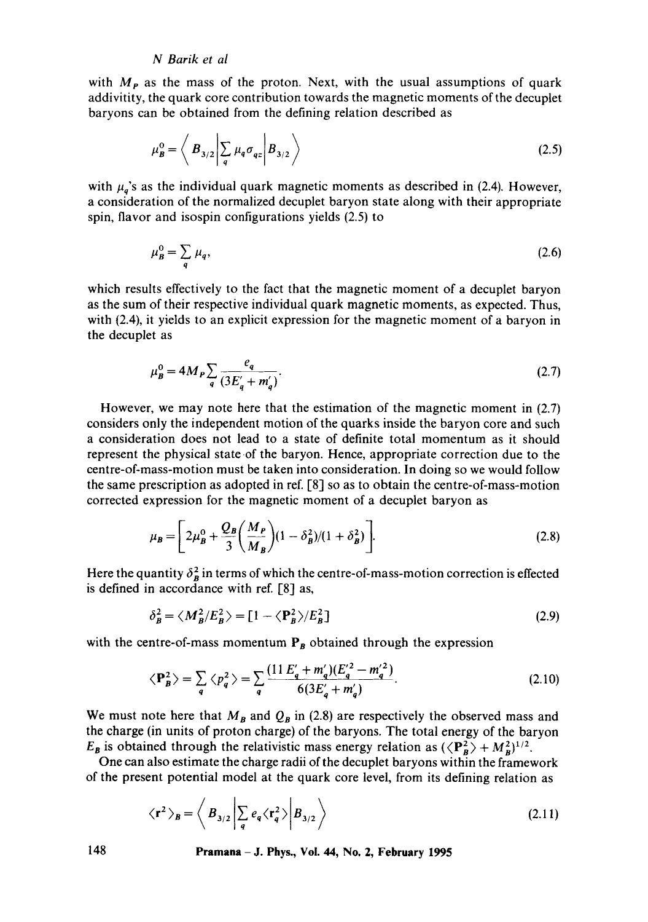## *N Barik et al*

with  $M<sub>P</sub>$  as the mass of the proton. Next, with the usual assumptions of quark addivitity, the quark core contribution towards the magnetic moments of the decuplet baryons can be obtained from the defining relation described as

$$
\mu_B^0 = \left\langle B_{3/2} \middle| \sum_q \mu_q \sigma_{qz} \middle| B_{3/2} \right\rangle
$$
\n(2.5)

with  $\mu_q$ 's as the individual quark magnetic moments as described in (2.4). However, a consideration of the normalized decuplet baryon state along with their appropriate spin, flavor and isospin configurations yields (2.5) to

$$
\mu_B^0 = \sum_q \mu_q,\tag{2.6}
$$

which results effectively to the fact that the magnetic moment of a decuplet baryon as the sum of their respective individual quark magnetic moments, as expected. Thus, with (2.4), it yields to an explicit expression for the magnetic moment of a baryon in the decuplet as

$$
\mu_B^0 = 4M_P \sum_{q} \frac{e_q}{(3E_q' + m_q')}.
$$
\n(2.7)

However, we may note here that the estimation of the magnetic moment in (2.7) considers only the independent motion of the quarks inside the baryon core and such a consideration does not lead to a state of definite total momentum as it should represent the physical state of the baryon. Hence, appropriate correction due to the centre-of-mass-motion must be taken into consideration. In doing so we would follow the same prescription as adopted in ref.  $[8]$  so as to obtain the centre-of-mass-motion corrected expression for the magnetic moment of a decuplet baryon as

$$
\mu_B = \left[2\mu_B^0 + \frac{Q_B}{3}\left(\frac{M_P}{M_B}\right)(1 - \delta_B^2)/(1 + \delta_B^2)\right].
$$
\n(2.8)

Here the quantity  $\delta_B^2$  in terms of which the centre-of-mass-motion correction is effected is defined in accordance with ref.  $[8]$  as,

$$
\delta_B^2 = \langle M_B^2 / E_B^2 \rangle = [1 - \langle P_B^2 \rangle / E_B^2]
$$
 (2.9)

with the centre-of-mass momentum  $P_B$  obtained through the expression

$$
\langle \mathbf{P}_{B}^{2} \rangle = \sum_{q} \langle p_{q}^{2} \rangle = \sum_{q} \frac{(11 E_{q}^{\prime} + m_{q}^{\prime})(E_{q}^{\prime 2} - m_{q}^{\prime 2})}{6(3E_{q}^{\prime} + m_{q}^{\prime})}.
$$
 (2.10)

We must note here that  $M_B$  and  $Q_B$  in (2.8) are respectively the observed mass and the charge (in units of proton charge) of the baryons. The total energy of the baryon  $E_B$  is obtained through the relativistic mass energy relation as  $(\langle P_A^2 \rangle + M_B^2)^{1/2}$ .

One can also estimate the charge radii of the decuplet baryons within the framework of the present potential model at the quark core level, from its defining relation as

$$
\langle \mathbf{r}^2 \rangle_B = \left\langle B_{3/2} \left| \sum_q e_q \langle \mathbf{r}_q^2 \rangle \right| B_{3/2} \right\rangle \tag{2.11}
$$

148 **Pramana - J. Phys., gol. 44, No. 2, February 1995**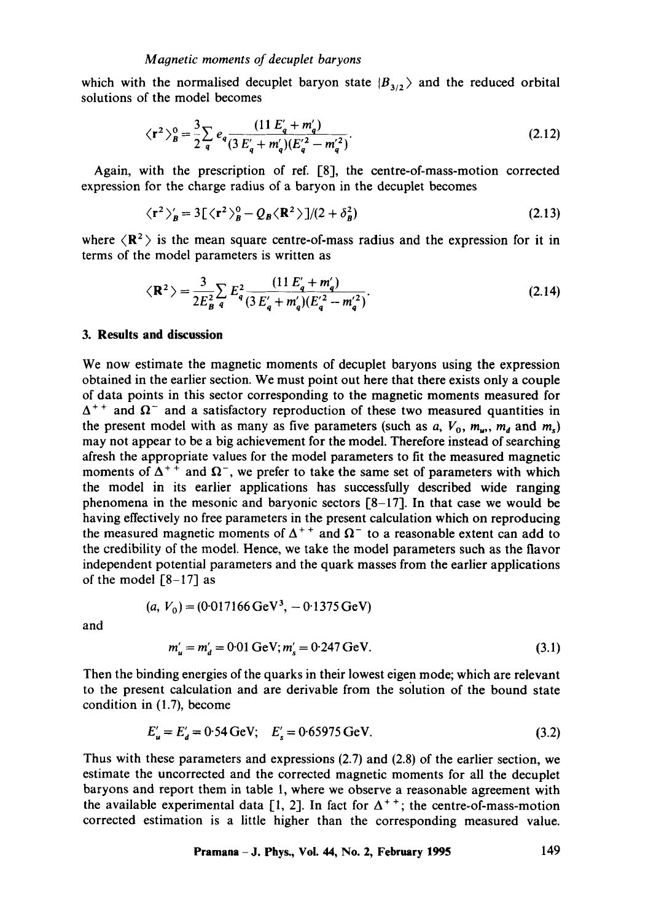which with the normalised decuplet baryon state  $|B_{3/2}\rangle$  and the reduced orbital solutions of the model becomes

$$
\langle \mathbf{r}^2 \rangle_B^0 = \frac{3}{2} \sum_q e_q \frac{(11 E_q' + m_q')}{(3 E_q' + m_q') (E_q'^2 - m_q'^2)}.
$$
\n(2.12)

Again, with the prescription of ref. [8], the centre-of-mass-motion corrected expression for the charge radius of a baryon in the decuplet becomes

$$
\langle \mathbf{r}^2 \rangle_B' = 3[\langle \mathbf{r}^2 \rangle_B^0 - Q_B \langle \mathbf{R}^2 \rangle]/(2 + \delta_B^2)
$$
 (2.13)

where  $\langle \mathbb{R}^2 \rangle$  is the mean square centre-of-mass radius and the expression for it in terms of the model parameters is written as

$$
\langle \mathbf{R}^2 \rangle = \frac{3}{2E_B^2} \sum_q E_q^2 \frac{(11 E_q' + m_q')}{(3 E_q' + m_q') (E_q'^2 - m_q'^2)}.
$$
 (2.14)

#### **3. Results and discussion**

We now estimate the magnetic moments of decuplet baryons using the expression obtained in the earlier section. We must point out here that there exists only a couple of data points in this sector corresponding to the magnetic moments measured for  $\Delta^{++}$  and  $\Omega^-$  and a satisfactory reproduction of these two measured quantities in the present model with as many as five parameters (such as  $a, V_0, m_u, m_d$  and  $m_s$ ) may not appear to be a big achievement for the model. Therefore instead of searching afresh the appropriate values for the model parameters to fit the measured magnetic moments of  $\Delta^{++}$  and  $\Omega^-$ , we prefer to take the same set of parameters with which the model in its earlier applications has successfully described wide ranging phenomena in the mesonic and baryonic sectors [8-17]. In that case we would be having effectively no free parameters in the present calculation which on reproducing the measured magnetic moments of  $\Delta^{++}$  and  $\Omega^-$  to a reasonable extent can add to the credibility of the model. Hence, we take the model parameters such as the flavor independent potential parameters and the quark masses from the earlier applications of the model  $[8-17]$  as

$$
(a, V_0) = (0.017166 \,\mathrm{GeV}^3, -0.1375 \,\mathrm{GeV})
$$

and

$$
m'_{u} = m'_{d} = 0.01 \text{ GeV}; m'_{s} = 0.247 \text{ GeV}. \tag{3.1}
$$

Then the binding energies of the quarks in their lowest eigen mode; which are relevant to the present calculation and are derivable from the solution of the bound state condition in (1.7), become

$$
E'_{u} = E'_{d} = 0.54 \text{ GeV}; \quad E'_{s} = 0.65975 \text{ GeV}. \tag{3.2}
$$

Thus with these parameters and expressions (2.7) and (2.8) of the earlier section, we estimate the uncorrected and the corrected magnetic moments for all the decuplet baryons and report them in table 1, where we observe a reasonable agreement with the available experimental data [1, 2]. In fact for  $\Delta^{++}$ ; the centre-of-mass-motion corrected estimation is a little higher than the corresponding measured value.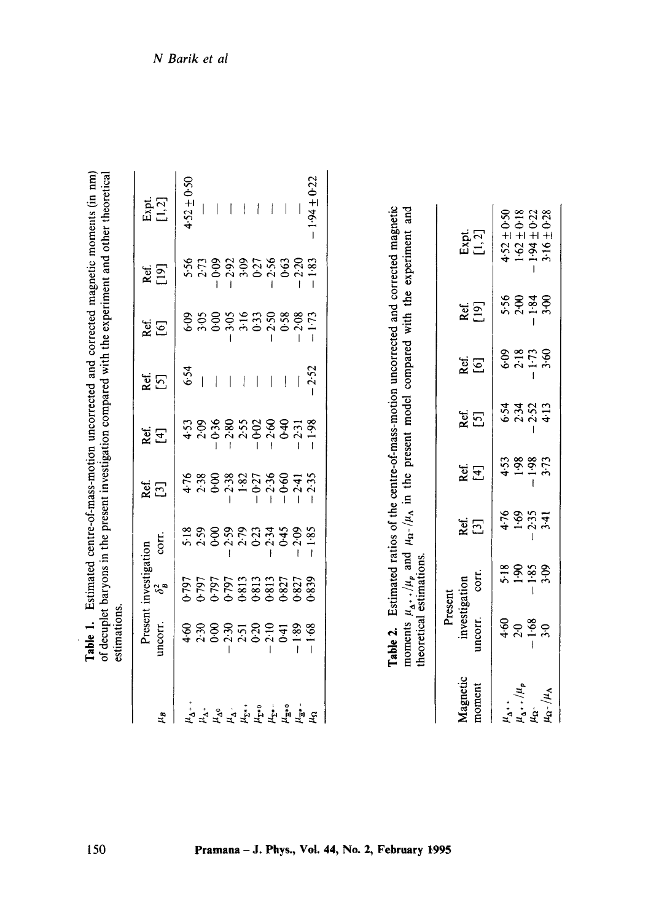| investigation compared with the experiment and other theoretical<br>of decuplet baryons in the present in |
|-----------------------------------------------------------------------------------------------------------|
|-----------------------------------------------------------------------------------------------------------|

|         | Present investigation                                        |                      | Ref.                                                                      | kei<br>K                      |      |                           |                |                          |
|---------|--------------------------------------------------------------|----------------------|---------------------------------------------------------------------------|-------------------------------|------|---------------------------|----------------|--------------------------|
| uncorr. | $\delta^2$                                                   | corr.                | $[3]$                                                                     | [4]                           |      | et<br>[6]                 | kef.<br>[19]   | Expt.<br>[1.7]           |
|         |                                                              |                      |                                                                           |                               | 6.54 | 60.9                      |                | $4.52 \pm 0.50$          |
|         |                                                              |                      |                                                                           | $4.53$<br>$2.09$              |      |                           |                |                          |
|         |                                                              |                      | 4388<br>428                                                               | $-0.36$                       |      | $rac{3.00}{0.6}$          |                |                          |
|         | 0.797<br>0.7975<br>0.7975 13.327<br>0.827<br>0.8327<br>0.838 | 8<br>888888<br>62888 |                                                                           |                               |      |                           | 55383556635565 | $\overline{1}$           |
|         |                                                              |                      |                                                                           | $-2.80$<br>2.55               |      |                           |                | ļ                        |
|         |                                                              |                      |                                                                           |                               |      |                           |                | í                        |
|         |                                                              | $2.34$<br>0.45       |                                                                           | $-0.02$<br>$-2.60$<br>$-0.40$ |      | $3.58$<br>$3.58$<br>$2.5$ |                |                          |
|         |                                                              |                      |                                                                           |                               |      | 0.58                      |                | $\overline{\phantom{a}}$ |
| $-1.89$ |                                                              | 2.09                 | $-2.38$<br>$-1.82$<br>$-0.27$<br>$-1.36$<br>$-1.36$<br>$-1.36$<br>$-1.41$ | 2.31                          |      | 2:08                      | 2.20           |                          |
| 1.68    |                                                              | 1.85                 | 2.35                                                                      | $-1.98$                       | 2.52 | $1 - 73$                  | 1.83           | $-1.94 \pm 0.22$         |

| <b>Magnetic</b><br>noment                                                                | Present<br>investigation<br>uncorr. corr.           |                |                            |                              |                                   |                      |              |                                                                          |
|------------------------------------------------------------------------------------------|-----------------------------------------------------|----------------|----------------------------|------------------------------|-----------------------------------|----------------------|--------------|--------------------------------------------------------------------------|
|                                                                                          |                                                     |                | Ref.<br>[3]                | Rei<br>[म]                   | Ref.<br>[5]                       | Ref.<br>[6]          | Ref.<br>[19] | Expt.<br>[1,2]                                                           |
|                                                                                          |                                                     |                |                            |                              |                                   |                      |              |                                                                          |
|                                                                                          |                                                     |                |                            |                              |                                   |                      |              |                                                                          |
|                                                                                          | $rac{60}{4}$ $rac{60}{1}$ $rac{60}{1}$ $rac{60}{1}$ | 38888<br>38188 | $4.69$<br>$4.23$<br>$4.34$ | $4.58$<br>$-1.88$<br>$-1.73$ | 5 3 3 3 4<br>5 3 5 5 7<br>5 7 8 9 | 09<br>2357<br>241-29 |              | $4.52 \pm 0.50$<br>1.62 $\pm$ 0.18<br>1.94 $\pm$ 0.22<br>3.16 $\pm$ 0.28 |
| $\mu_{\Delta^+}$ , $\mu_{\mu}$<br>$\mu_{\Omega^-}$<br>$\mu_{\Omega^-}$ / $\mu_{\Lambda}$ |                                                     |                |                            |                              |                                   |                      |              |                                                                          |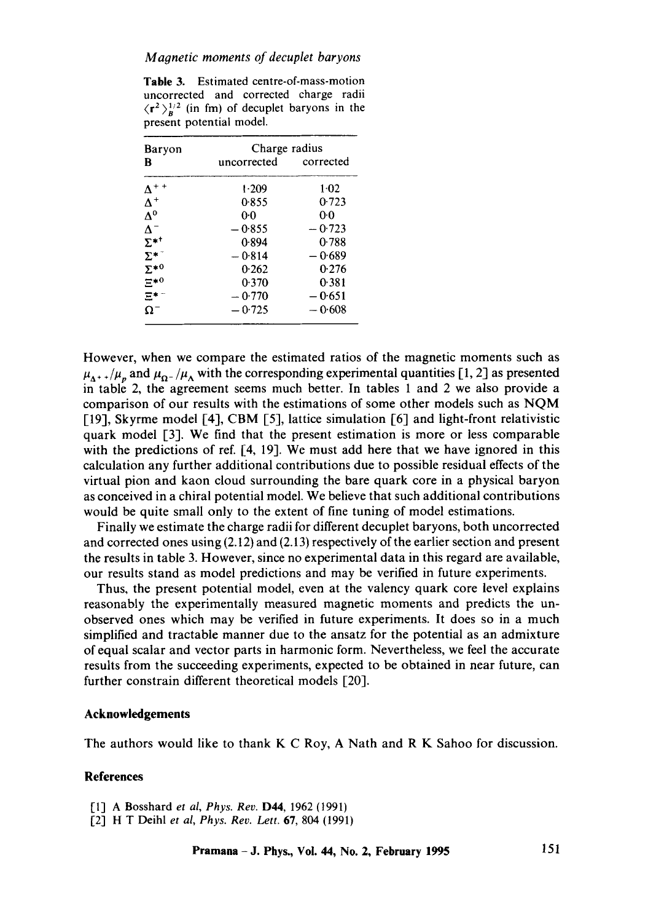#### *Magnetic moments of decuplet baryons*

Table 3. Estimated centre-of-mass-motion uncorrected and corrected charge radii  $\langle \mathbf{r}^2 \rangle_n^{1/2}$  (in fm) of decuplet baryons in the present potential model.

| Baryon                 | Charge radius |                |
|------------------------|---------------|----------------|
| B                      | uncorrected   | corrected      |
| $\Delta^{++}$          | 1.209         | $1-02$         |
| $\Lambda^+$            | 0.855         | 0.723          |
| $\Delta^0$             | 00            | 0 <sub>0</sub> |
| $\Lambda^-$            | $-0.855$      | $-0.723$       |
| $\Sigma^{*^{\dagger}}$ | 0.894         | 0.788          |
| $\Sigma^{*-}$          | $-0.814$      | $-0.689$       |
| $\Sigma^{*0}$          | 0.262         | 0.276          |
| $\Xi^{\star0}$         | 0.370         | 0.381          |
| 모**                    | $-0.770$      | $-0.651$       |
| Ω-                     | $-0.725$      | $-0.608$       |

However, when we compare the estimated ratios of the magnetic moments such as  $\mu_{\Delta^+}$  / $\mu_p$  and  $\mu_{\Omega^-}/\mu_{\Delta}$  with the corresponding experimental quantities [1, 2] as presented in table 2, the agreement seems much better. In tables 1 and 2 we also provide a comparison of our results with the estimations of some other models such as NQM [19], Skyrme model [4], CBM [5], lattice simulation [6] and light-front relativistic quark model [3]. We find that the present estimation is more or less comparable with the predictions of ref. [4, 19]. We must add here that we have ignored in this calculation any further additional contributions due to possible residual effects of the virtual pion and kaon cloud surrounding the bare quark core in a physical baryon as conceived in a chiral potential model. We believe that such additional contributions would be quite small only to the extent of fine tuning of model estimations.

Finally we estimate the charge radii for different decuplet baryons, both uncorrected and corrected ones using (2.12) and (2.13) respectively of the earlier section and present the results in table 3. However, since no experimental data in this regard are available, our results stand as model predictions and may be verified in future experiments.

Thus, the present potential model, even at the valency quark core level explains reasonably the experimentally measured magnetic moments and predicts the unobserved ones which may be verified in future experiments. It does so in a much simplified and tractable manner due to the ansatz for the potential as an admixture of equal scalar and vector parts in harmonic form. Nevertheless, we feel the accurate results from the succeeding experiments, expected to be obtained in near future, can further constrain different theoretical models [20].

### **Acknowledgements**

The authors would like to thank K C Roy, A Nath and R K Sahoo for discussion.

#### **References**

- [1] A Bosshard *et al, Phys. Rev.* D44, 1962 (1991)
- [2] H T Deihl *et al, Phys. Rev. Lett.* 67, 804 (1991)